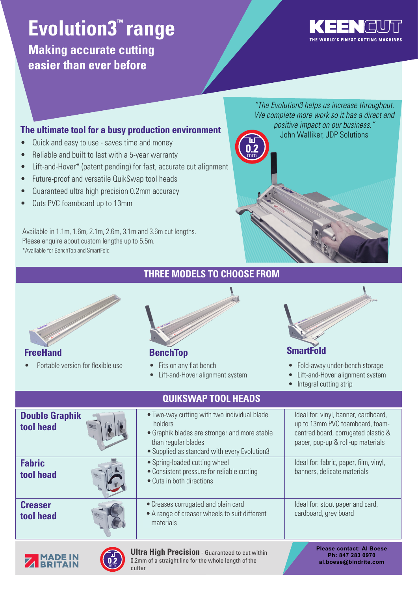# **Evolution3<sup>™</sup> range**

**Making accurate cutting easier than ever before**



*"The Evolution3 helps us increase throughput. We complete more work so it has a direct and* direct and positive impact on our business." *positive impact on our business."* John Walliker, JDP Solutions John Walliker, JDP Solutions

#### **The ultimate tool for a busy production environment**

- Quick and easy to use saves time and money
- Reliable and built to last with a 5-year warranty
- Lift-and-Hover\* (patent pending) for fast, accurate cut alignment

cutter

- Future-proof and versatile QuikSwap tool heads
- Guaranteed ultra high precision 0.2mm accuracy
- Cuts PVC foamboard up to 13mm

Available in 1.1m, 1.6m, 2.1m, 2.6m, 3.1m and 3.6m cut lengths. Please enquire about custom lengths up to 5.5m. \*Available for BenchTop and SmartFold

#### **Double Graphik tool head** •Two-way cutting with two individual blade holders •Graphik blades are stronger and more stable than regular blades •Supplied as standard with every Evolution3 Ideal for: vinyl, banner, cardboard, up to 13mm PVC foamboard, foamcentred board, corrugated plastic & paper, pop-up & roll-up materials  **Fabric tool head** • Spring-loaded cutting wheel •Consistent pressure for reliable cutting •Cuts in both directions Ideal for: fabric, paper, film, vinyl, banners, delicate materials  **Creaser tool head** Ideal for: stout paper and card, cardboard, grey board **Please contact: Al Boese Ph: 847 283 0970 al.boese@bindrite.com Ultra High Precision** - Guaranteed to cut within 0.2mm of a straight line for the whole length of the Portable version for flexible use • Fits on any flat bench • Lift-and-Hover alignment system • Fold-away under-bench storage • Lift-and-Hover alignment system • Integral cutting strip **FreeHand BenchTop SmartFold QUIKSWAP TOOL HEADS**  •Creases corrugated and plain card •A range of creaser wheels to suit different •materials

**THREE MODELS TO CHOOSE FROM**

mm